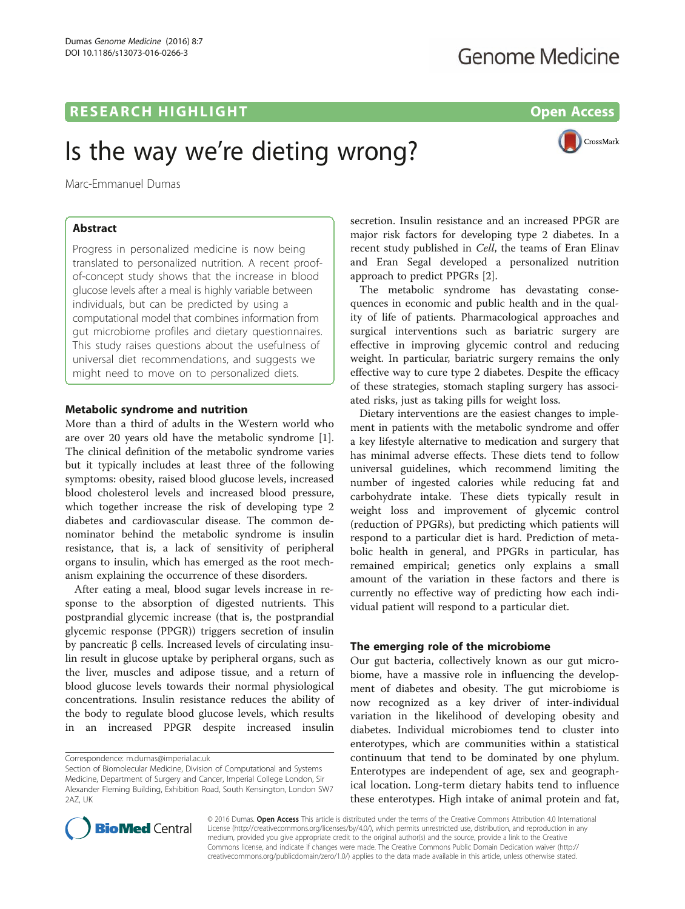# **RESEARCH HIGHLIGHT CONSUMING THE OPEN ACCESS**

# Genome Medicine

CrossMark

# Is the way we're dieting wrong?



# Abstract

Progress in personalized medicine is now being translated to personalized nutrition. A recent proofof-concept study shows that the increase in blood glucose levels after a meal is highly variable between individuals, but can be predicted by using a computational model that combines information from gut microbiome profiles and dietary questionnaires. This study raises questions about the usefulness of universal diet recommendations, and suggests we might need to move on to personalized diets.

### Metabolic syndrome and nutrition

More than a third of adults in the Western world who are over 20 years old have the metabolic syndrome [\[1](#page-2-0)]. The clinical definition of the metabolic syndrome varies but it typically includes at least three of the following symptoms: obesity, raised blood glucose levels, increased blood cholesterol levels and increased blood pressure, which together increase the risk of developing type 2 diabetes and cardiovascular disease. The common denominator behind the metabolic syndrome is insulin resistance, that is, a lack of sensitivity of peripheral organs to insulin, which has emerged as the root mechanism explaining the occurrence of these disorders.

After eating a meal, blood sugar levels increase in response to the absorption of digested nutrients. This postprandial glycemic increase (that is, the postprandial glycemic response (PPGR)) triggers secretion of insulin by pancreatic β cells. Increased levels of circulating insulin result in glucose uptake by peripheral organs, such as the liver, muscles and adipose tissue, and a return of blood glucose levels towards their normal physiological concentrations. Insulin resistance reduces the ability of the body to regulate blood glucose levels, which results in an increased PPGR despite increased insulin

Correspondence: [m.dumas@imperial.ac.uk](mailto:m.dumas@imperial.ac.uk)

secretion. Insulin resistance and an increased PPGR are major risk factors for developing type 2 diabetes. In a recent study published in Cell, the teams of Eran Elinav and Eran Segal developed a personalized nutrition approach to predict PPGRs [[2](#page-2-0)].

The metabolic syndrome has devastating consequences in economic and public health and in the quality of life of patients. Pharmacological approaches and surgical interventions such as bariatric surgery are effective in improving glycemic control and reducing weight. In particular, bariatric surgery remains the only effective way to cure type 2 diabetes. Despite the efficacy of these strategies, stomach stapling surgery has associated risks, just as taking pills for weight loss.

Dietary interventions are the easiest changes to implement in patients with the metabolic syndrome and offer a key lifestyle alternative to medication and surgery that has minimal adverse effects. These diets tend to follow universal guidelines, which recommend limiting the number of ingested calories while reducing fat and carbohydrate intake. These diets typically result in weight loss and improvement of glycemic control (reduction of PPGRs), but predicting which patients will respond to a particular diet is hard. Prediction of metabolic health in general, and PPGRs in particular, has remained empirical; genetics only explains a small amount of the variation in these factors and there is currently no effective way of predicting how each individual patient will respond to a particular diet.

#### The emerging role of the microbiome

Our gut bacteria, collectively known as our gut microbiome, have a massive role in influencing the development of diabetes and obesity. The gut microbiome is now recognized as a key driver of inter-individual variation in the likelihood of developing obesity and diabetes. Individual microbiomes tend to cluster into enterotypes, which are communities within a statistical continuum that tend to be dominated by one phylum. Enterotypes are independent of age, sex and geographical location. Long-term dietary habits tend to influence these enterotypes. High intake of animal protein and fat,



© 2016 Dumas. Open Access This article is distributed under the terms of the Creative Commons Attribution 4.0 International License ([http://creativecommons.org/licenses/by/4.0/\)](http://creativecommons.org/licenses/by/4.0/), which permits unrestricted use, distribution, and reproduction in any medium, provided you give appropriate credit to the original author(s) and the source, provide a link to the Creative Commons license, and indicate if changes were made. The Creative Commons Public Domain Dedication waiver ([http://](http://creativecommons.org/publicdomain/zero/1.0/) [creativecommons.org/publicdomain/zero/1.0/\)](http://creativecommons.org/publicdomain/zero/1.0/) applies to the data made available in this article, unless otherwise stated.

Section of Biomolecular Medicine, Division of Computational and Systems Medicine, Department of Surgery and Cancer, Imperial College London, Sir Alexander Fleming Building, Exhibition Road, South Kensington, London SW7 2AZ, UK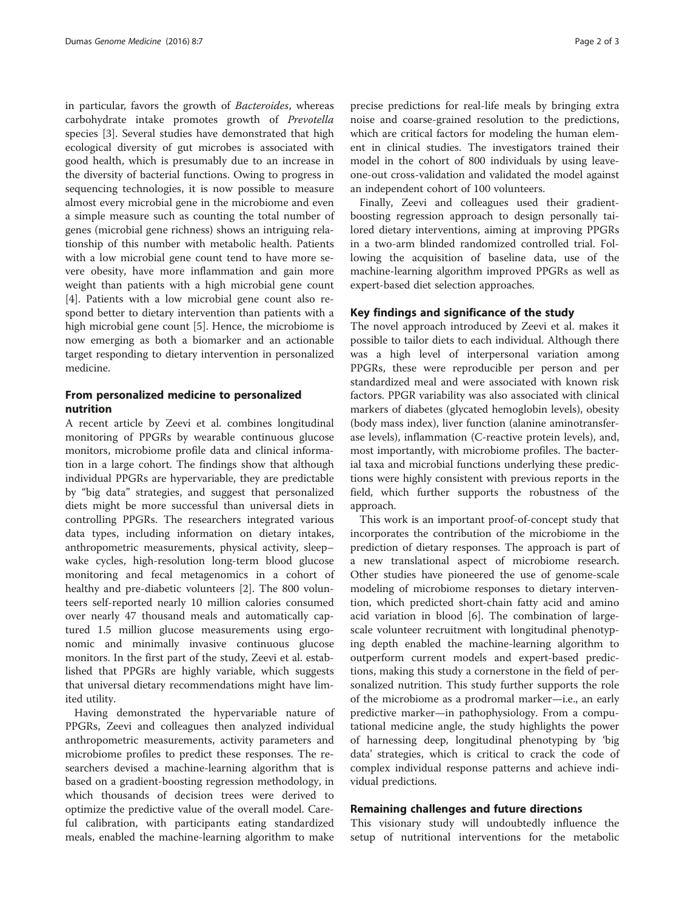in particular, favors the growth of Bacteroides, whereas carbohydrate intake promotes growth of Prevotella species [\[3](#page-2-0)]. Several studies have demonstrated that high ecological diversity of gut microbes is associated with good health, which is presumably due to an increase in the diversity of bacterial functions. Owing to progress in sequencing technologies, it is now possible to measure almost every microbial gene in the microbiome and even a simple measure such as counting the total number of genes (microbial gene richness) shows an intriguing relationship of this number with metabolic health. Patients with a low microbial gene count tend to have more severe obesity, have more inflammation and gain more weight than patients with a high microbial gene count [[4\]](#page-2-0). Patients with a low microbial gene count also respond better to dietary intervention than patients with a high microbial gene count [\[5\]](#page-2-0). Hence, the microbiome is now emerging as both a biomarker and an actionable target responding to dietary intervention in personalized medicine.

## From personalized medicine to personalized nutrition

A recent article by Zeevi et al. combines longitudinal monitoring of PPGRs by wearable continuous glucose monitors, microbiome profile data and clinical information in a large cohort. The findings show that although individual PPGRs are hypervariable, they are predictable by "big data" strategies, and suggest that personalized diets might be more successful than universal diets in controlling PPGRs. The researchers integrated various data types, including information on dietary intakes, anthropometric measurements, physical activity, sleep– wake cycles, high-resolution long-term blood glucose monitoring and fecal metagenomics in a cohort of healthy and pre-diabetic volunteers [\[2](#page-2-0)]. The 800 volunteers self-reported nearly 10 million calories consumed over nearly 47 thousand meals and automatically captured 1.5 million glucose measurements using ergonomic and minimally invasive continuous glucose monitors. In the first part of the study, Zeevi et al. established that PPGRs are highly variable, which suggests that universal dietary recommendations might have limited utility.

Having demonstrated the hypervariable nature of PPGRs, Zeevi and colleagues then analyzed individual anthropometric measurements, activity parameters and microbiome profiles to predict these responses. The researchers devised a machine-learning algorithm that is based on a gradient-boosting regression methodology, in which thousands of decision trees were derived to optimize the predictive value of the overall model. Careful calibration, with participants eating standardized meals, enabled the machine-learning algorithm to make

precise predictions for real-life meals by bringing extra noise and coarse-grained resolution to the predictions, which are critical factors for modeling the human element in clinical studies. The investigators trained their model in the cohort of 800 individuals by using leaveone-out cross-validation and validated the model against an independent cohort of 100 volunteers.

Finally, Zeevi and colleagues used their gradientboosting regression approach to design personally tailored dietary interventions, aiming at improving PPGRs in a two-arm blinded randomized controlled trial. Following the acquisition of baseline data, use of the machine-learning algorithm improved PPGRs as well as expert-based diet selection approaches.

### Key findings and significance of the study

The novel approach introduced by Zeevi et al. makes it possible to tailor diets to each individual. Although there was a high level of interpersonal variation among PPGRs, these were reproducible per person and per standardized meal and were associated with known risk factors. PPGR variability was also associated with clinical markers of diabetes (glycated hemoglobin levels), obesity (body mass index), liver function (alanine aminotransferase levels), inflammation (C-reactive protein levels), and, most importantly, with microbiome profiles. The bacterial taxa and microbial functions underlying these predictions were highly consistent with previous reports in the field, which further supports the robustness of the approach.

This work is an important proof-of-concept study that incorporates the contribution of the microbiome in the prediction of dietary responses. The approach is part of a new translational aspect of microbiome research. Other studies have pioneered the use of genome-scale modeling of microbiome responses to dietary intervention, which predicted short-chain fatty acid and amino acid variation in blood [\[6](#page-2-0)]. The combination of largescale volunteer recruitment with longitudinal phenotyping depth enabled the machine-learning algorithm to outperform current models and expert-based predictions, making this study a cornerstone in the field of personalized nutrition. This study further supports the role of the microbiome as a prodromal marker—i.e., an early predictive marker—in pathophysiology. From a computational medicine angle, the study highlights the power of harnessing deep, longitudinal phenotyping by 'big data' strategies, which is critical to crack the code of complex individual response patterns and achieve individual predictions.

#### Remaining challenges and future directions

This visionary study will undoubtedly influence the setup of nutritional interventions for the metabolic